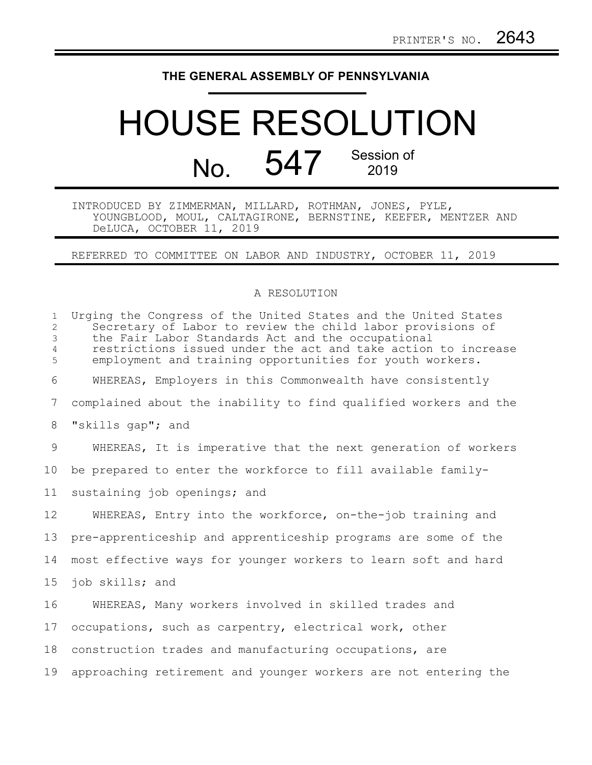## **THE GENERAL ASSEMBLY OF PENNSYLVANIA**

## HOUSE RESOLUTION No. 547 Session of 2019

INTRODUCED BY ZIMMERMAN, MILLARD, ROTHMAN, JONES, PYLE, YOUNGBLOOD, MOUL, CALTAGIRONE, BERNSTINE, KEEFER, MENTZER AND DeLUCA, OCTOBER 11, 2019

REFERRED TO COMMITTEE ON LABOR AND INDUSTRY, OCTOBER 11, 2019

## A RESOLUTION

| $\mathbf{1}$<br>$\mathbf{2}^{\prime}$<br>3<br>$\overline{4}$<br>5 | Urging the Congress of the United States and the United States<br>Secretary of Labor to review the child labor provisions of<br>the Fair Labor Standards Act and the occupational<br>restrictions issued under the act and take action to increase<br>employment and training opportunities for youth workers. |
|-------------------------------------------------------------------|----------------------------------------------------------------------------------------------------------------------------------------------------------------------------------------------------------------------------------------------------------------------------------------------------------------|
| 6                                                                 | WHEREAS, Employers in this Commonwealth have consistently                                                                                                                                                                                                                                                      |
| 7                                                                 | complained about the inability to find qualified workers and the                                                                                                                                                                                                                                               |
| 8                                                                 | "skills gap"; and                                                                                                                                                                                                                                                                                              |
| 9                                                                 | WHEREAS, It is imperative that the next generation of workers                                                                                                                                                                                                                                                  |
| 10 <sub>o</sub>                                                   | be prepared to enter the workforce to fill available family-                                                                                                                                                                                                                                                   |
| 11                                                                | sustaining job openings; and                                                                                                                                                                                                                                                                                   |
| $12 \,$                                                           | WHEREAS, Entry into the workforce, on-the-job training and                                                                                                                                                                                                                                                     |
| 13                                                                | pre-apprenticeship and apprenticeship programs are some of the                                                                                                                                                                                                                                                 |
| 14                                                                | most effective ways for younger workers to learn soft and hard                                                                                                                                                                                                                                                 |
| 15                                                                | job skills; and                                                                                                                                                                                                                                                                                                |
| 16                                                                | WHEREAS, Many workers involved in skilled trades and                                                                                                                                                                                                                                                           |
| 17                                                                | occupations, such as carpentry, electrical work, other                                                                                                                                                                                                                                                         |
| 18                                                                | construction trades and manufacturing occupations, are                                                                                                                                                                                                                                                         |
| 19                                                                | approaching retirement and younger workers are not entering the                                                                                                                                                                                                                                                |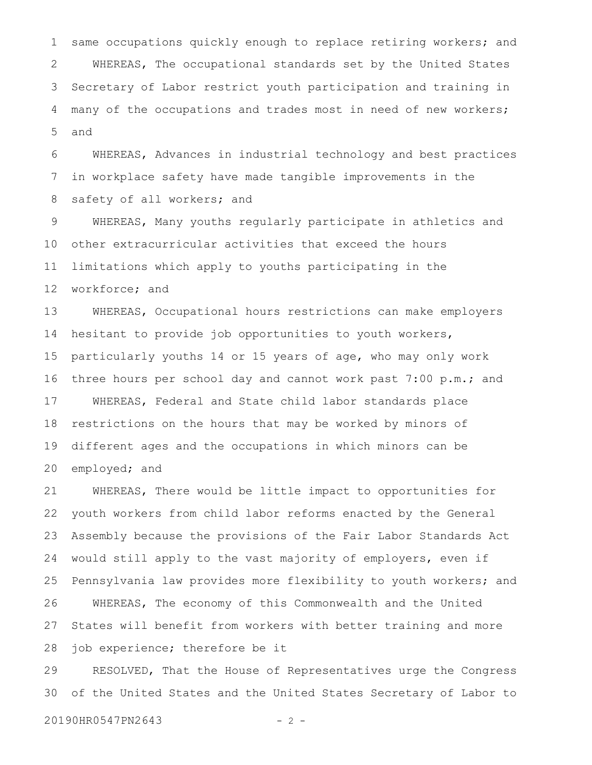same occupations quickly enough to replace retiring workers; and WHEREAS, The occupational standards set by the United States Secretary of Labor restrict youth participation and training in many of the occupations and trades most in need of new workers; and 1 2 3 4 5

WHEREAS, Advances in industrial technology and best practices in workplace safety have made tangible improvements in the safety of all workers; and 6 7 8

WHEREAS, Many youths regularly participate in athletics and other extracurricular activities that exceed the hours limitations which apply to youths participating in the workforce; and 9 10 11 12

WHEREAS, Occupational hours restrictions can make employers hesitant to provide job opportunities to youth workers, particularly youths 14 or 15 years of age, who may only work three hours per school day and cannot work past 7:00 p.m.; and WHEREAS, Federal and State child labor standards place restrictions on the hours that may be worked by minors of different ages and the occupations in which minors can be employed; and 13 14 15 16 17 18 19 20

WHEREAS, There would be little impact to opportunities for youth workers from child labor reforms enacted by the General Assembly because the provisions of the Fair Labor Standards Act would still apply to the vast majority of employers, even if Pennsylvania law provides more flexibility to youth workers; and WHEREAS, The economy of this Commonwealth and the United States will benefit from workers with better training and more job experience; therefore be it 21 22 23 24 25 26 27 28

RESOLVED, That the House of Representatives urge the Congress of the United States and the United States Secretary of Labor to 29 30

20190HR0547PN2643 - 2 -